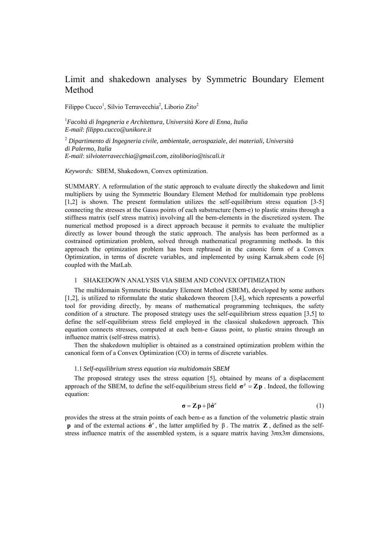# Limit and shakedown analyses by Symmetric Boundary Element Method

Filippo Cucco<sup>1</sup>, Silvio Terravecchia<sup>2</sup>, Liborio Zito<sup>2</sup>

1 *Facoltà di Ingegneria e Architettura, Università Kore di Enna, Italia E-mail*: *filippo.cucco@unikore.it* 

2  *Dipartimento di Ingegneria civile, ambientale, aerospaziale, dei materiali, Università di Palermo, Italia E-mail*: *silvioterravecchia@gmail.com, zitoliborio@tiscali.it* 

*Keywords:* SBEM, Shakedown, Convex optimization.

SUMMARY. A reformulation of the static approach to evaluate directly the shakedown and limit multipliers by using the Symmetric Boundary Element Method for multidomain type problems [1,2] is shown. The present formulation utilizes the self-equilibrium stress equation [3-5] connecting the stresses at the Gauss points of each substructure (bem-e) to plastic strains through a stiffness matrix (self stress matrix) involving all the bem-elements in the discretized system. The numerical method proposed is a direct approach because it permits to evaluate the multiplier directly as lower bound through the static approach. The analysis has been performed as a costrained optimization problem, solved through mathematical programming methods. In this approach the optimization problem has been rephrased in the canonic form of a Convex Optimization, in terms of discrete variables, and implemented by using Karnak.sbem code [6] coupled with the MatLab.

### 1 SHAKEDOWN ANALYSIS VIA SBEM AND CONVEX OPTIMIZATION

The multidomain Symmetric Boundary Element Method (SBEM), developed by some authors [1,2], is utilized to riformulate the static shakedown theorem [3,4], which represents a powerful tool for providing directly, by means of mathematical programming techniques, the safety condition of a structure. The proposed strategy uses the self-equilibrium stress equation [3,5] to define the self-equilibrium stress field employed in the classical shakedown approach. This equation connects stresses, computed at each bem-e Gauss point, to plastic strains through an influence matrix (self-stress matrix).

Then the shakedown multiplier is obtained as a constrained optimization problem within the canonical form of a Convex Optimization (CO) in terms of discrete variables.

## 1.1 *Self-equilibrium stress equation via multidomain SBEM*

The proposed strategy uses the stress equation [5], obtained by means of a displacement approach of the SBEM, to define the self-equilibrium stress field  $\sigma^p = Zp$ . Indeed, the following equation:

$$
\sigma = Zp + \beta \hat{\sigma}^e \tag{1}
$$

provides the stress at the strain points of each bem-e as a function of the volumetric plastic strain **p** and of the external actions  $\hat{\sigma}^e$ , the latter amplified by  $\beta$ . The matrix **Z**, defined as the selfstress influence matrix of the assembled system, is a square matrix having 3*m*x3*m* dimensions,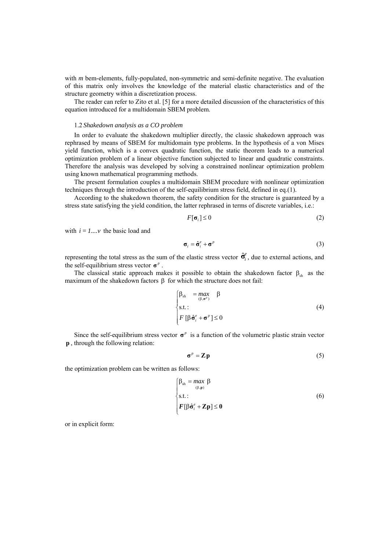with *m* bem-elements, fully-populated, non-symmetric and semi-definite negative. The evaluation of this matrix only involves the knowledge of the material elastic characteristics and of the structure geometry within a discretization process.

The reader can refer to Zito et al. [5] for a more detailed discussion of the characteristics of this equation introduced for a multidomain SBEM problem.

#### 1.2 *Shakedown analysis as a CO problem*

In order to evaluate the shakedown multiplier directly, the classic shakedown approach was rephrased by means of SBEM for multidomain type problems. In the hypothesis of a von Mises yield function, which is a convex quadratic function, the static theorem leads to a numerical optimization problem of a linear objective function subjected to linear and quadratic constraints. Therefore the analysis was developed by solving a constrained nonlinear optimization problem using known mathematical programming methods.

The present formulation couples a multidomain SBEM procedure with nonlinear optimization techniques through the introduction of the self-equilibrium stress field, defined in eq.(1).

According to the shakedown theorem, the safety condition for the structure is guaranteed by a stress state satisfying the yield condition, the latter rephrased in terms of discrete variables, i.e.:

$$
F[\sigma_i] \le 0 \tag{2}
$$

with  $i = 1...v$  the basic load and

$$
\boldsymbol{\sigma}_i = \hat{\boldsymbol{\sigma}}_i^e + \boldsymbol{\sigma}^p \tag{3}
$$

representing the total stress as the sum of the elastic stress vector  $\hat{\sigma}_i^e$ , due to external actions, and the self-equilibrium stress vector  $\sigma^p$ .

The classical static approach makes it possible to obtain the shakedown factor  $\beta_{sh}$  as the maximum of the shakedown factors  $β$  for which the structure does not fail:

$$
\begin{cases}\n\beta_{\text{sh}} &= \max_{(\beta,\sigma^p)} \beta \\
\text{s.t.}: \\
F \left[ \beta \hat{\sigma}_i^e + \sigma^p \right] \le 0\n\end{cases}
$$
\n(4)

Since the self-equilibrium stress vector  $\sigma^p$  is a function of the volumetric plastic strain vector **p** , through the following relation:

$$
\boldsymbol{\sigma}^p = \mathbf{Z}\mathbf{p} \tag{5}
$$

the optimization problem can be written as follows:

$$
\begin{cases}\n\beta_{\text{sh}} = \max_{(\beta, \mathbf{p})} \beta \\
\text{s.t.}: \\
F[\beta \hat{\sigma}_i^e + \mathbf{Z} \mathbf{p}] \le 0\n\end{cases}
$$
\n(6)

or in explicit form: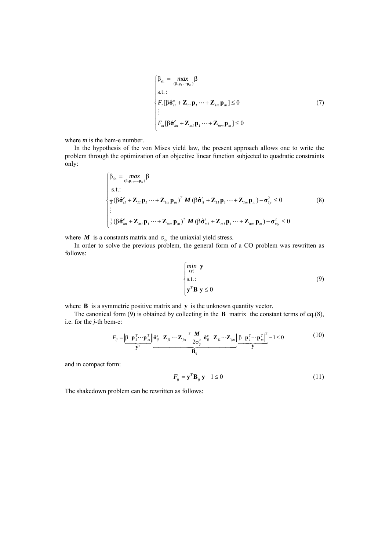$$
\begin{cases}\n\beta_{\rm sh} = \max_{(\beta, \mathbf{p}_I, \cdots \mathbf{p}_m)} \beta \\
\text{s.t. :} \\
F_I[\beta \hat{\sigma}_{iI}^e + \mathbf{Z}_{II} \mathbf{p}_I \cdots + \mathbf{Z}_{Im} \mathbf{p}_m] \le 0 \\
\vdots \\
F_m[\beta \hat{\sigma}_{im}^e + \mathbf{Z}_{mI} \mathbf{p}_I \cdots + \mathbf{Z}_{mm} \mathbf{p}_m] \le 0\n\end{cases} \tag{7}
$$

where *m* is the bem-e number.

In the hypothesis of the von Mises yield law, the present approach allows one to write the problem through the optimization of an objective linear function subjected to quadratic constraints only:

$$
\begin{cases}\n\beta_{\text{sh}} = \max_{(\beta, \mathbf{p}_1, \dots, \mathbf{p}_m)} \beta \\
\text{s.t.:} \\
\frac{1}{2} (\beta \hat{\mathbf{\sigma}}_{iI}^e + \mathbf{Z}_{II} \mathbf{p}_I \cdots + \mathbf{Z}_{Im} \mathbf{p}_m)^T \mathbf{M} (\beta \hat{\mathbf{\sigma}}_{iI}^e + \mathbf{Z}_{II} \mathbf{p}_I \cdots + \mathbf{Z}_{Im} \mathbf{p}_m) - \sigma_{I_y}^2 \le 0 \\
\vdots \\
\frac{1}{2} (\beta \hat{\mathbf{\sigma}}_{im}^e + \mathbf{Z}_{ml} \mathbf{p}_I \cdots + \mathbf{Z}_{mm} \mathbf{p}_m)^T \mathbf{M} (\beta \hat{\mathbf{\sigma}}_{ml}^e + \mathbf{Z}_{ml} \mathbf{p}_I \cdots + \mathbf{Z}_{mm} \mathbf{p}_m) - \sigma_{my}^2 \le 0\n\end{cases}
$$
\n(8)

where *M* is a constants matrix and  $\sigma_{iy}$  the uniaxial yield stress.

In order to solve the previous problem, the general form of a CO problem was rewritten as follows:

$$
\begin{cases}\n\min_{\mathbf{y}} \mathbf{y} \\
\text{s.t.:} \\
\mathbf{y}^T \mathbf{B} \mathbf{y} \le 0\n\end{cases} \tag{9}
$$

where **B** is a symmetric positive matrix and **y** is the unknown quantity vector.

The canonical form (9) is obtained by collecting in the **B** matrix the constant terms of eq.(8), i.e. for the *j*-th bem-e:

$$
F_{ij} = \underbrace{\begin{vmatrix} \beta & \mathbf{p}_i^T \cdots \mathbf{p}_m^T \end{vmatrix}}_{\mathbf{y}^T} \underbrace{\begin{vmatrix} \hat{\sigma}_{ij}^e & \mathbf{Z}_{ji} \cdots \mathbf{Z}_{jm} \end{vmatrix}}_{\mathbf{B}_{ij}} \underbrace{\begin{vmatrix} \mathbf{A}^e & \mathbf{Z}_{ji} \cdots \mathbf{Z}_{jm} \end{vmatrix}}_{\mathbf{B}_{ij}} \underbrace{\begin{vmatrix} \beta & \mathbf{p}_i^T \cdots \mathbf{p}_m^T \end{vmatrix}}_{\mathbf{y}} - 1 \le 0
$$
 (10)

and in compact form:

$$
F_{ij} = \mathbf{y}^T \mathbf{B}_{ij} \mathbf{y} - 1 \le 0 \tag{11}
$$

The shakedown problem can be rewritten as follows: